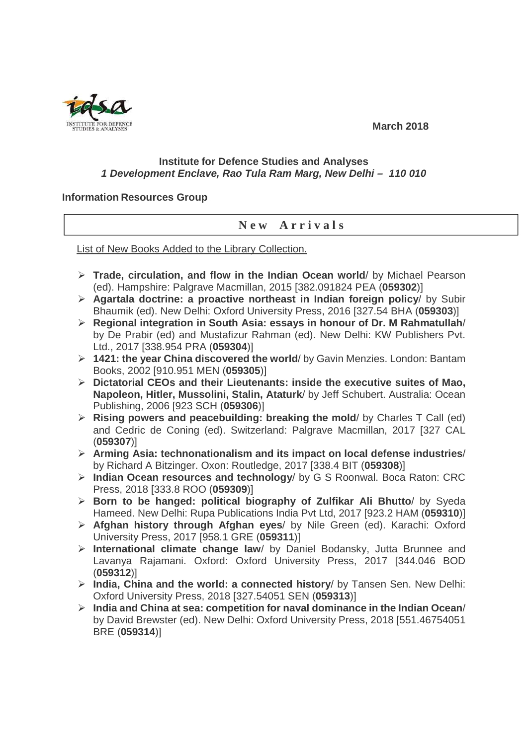

## **March 2018**

## **Institute for Defence Studies and Analyses 1 Development Enclave, Rao Tula Ram Marg, New Delhi – 110 010**

## **Information Resources Group**

## **N e w A r r i v a l s**

List of New Books Added to the Library Collection.

- **Trade, circulation, and flow in the Indian Ocean world**/ by Michael Pearson (ed). Hampshire: Palgrave Macmillan, 2015 [382.091824 PEA (**059302**)]
- **Agartala doctrine: a proactive northeast in Indian foreign policy**/ by Subir Bhaumik (ed). New Delhi: Oxford University Press, 2016 [327.54 BHA (**059303**)]
- **Regional integration in South Asia: essays in honour of Dr. M Rahmatullah**/ by De Prabir (ed) and Mustafizur Rahman (ed). New Delhi: KW Publishers Pvt. Ltd., 2017 [338.954 PRA (**059304**)]
- **1421: the year China discovered the world**/ by Gavin Menzies. London: Bantam Books, 2002 [910.951 MEN (**059305**)]
- **Dictatorial CEOs and their Lieutenants: inside the executive suites of Mao, Napoleon, Hitler, Mussolini, Stalin, Ataturk**/ by Jeff Schubert. Australia: Ocean Publishing, 2006 [923 SCH (**059306**)]
- **Rising powers and peacebuilding: breaking the mold**/ by Charles T Call (ed) and Cedric de Coning (ed). Switzerland: Palgrave Macmillan, 2017 [327 CAL (**059307**)]
- **Arming Asia: technonationalism and its impact on local defense industries**/ by Richard A Bitzinger. Oxon: Routledge, 2017 [338.4 BIT (**059308**)]
- **Indian Ocean resources and technology**/ by G S Roonwal. Boca Raton: CRC Press, 2018 [333.8 ROO (**059309**)]
- **Born to be hanged: political biography of Zulfikar Ali Bhutto**/ by Syeda Hameed. New Delhi: Rupa Publications India Pvt Ltd, 2017 [923.2 HAM (**059310**)]
- **Afghan history through Afghan eyes**/ by Nile Green (ed). Karachi: Oxford University Press, 2017 [958.1 GRE (**059311**)]
- **International climate change law**/ by Daniel Bodansky, Jutta Brunnee and Lavanya Rajamani. Oxford: Oxford University Press, 2017 [344.046 BOD (**059312**)]
- **India, China and the world: a connected history**/ by Tansen Sen. New Delhi: Oxford University Press, 2018 [327.54051 SEN (**059313**)]
- **India and China at sea: competition for naval dominance in the Indian Ocean**/ by David Brewster (ed). New Delhi: Oxford University Press, 2018 [551.46754051 BRE (**059314**)]